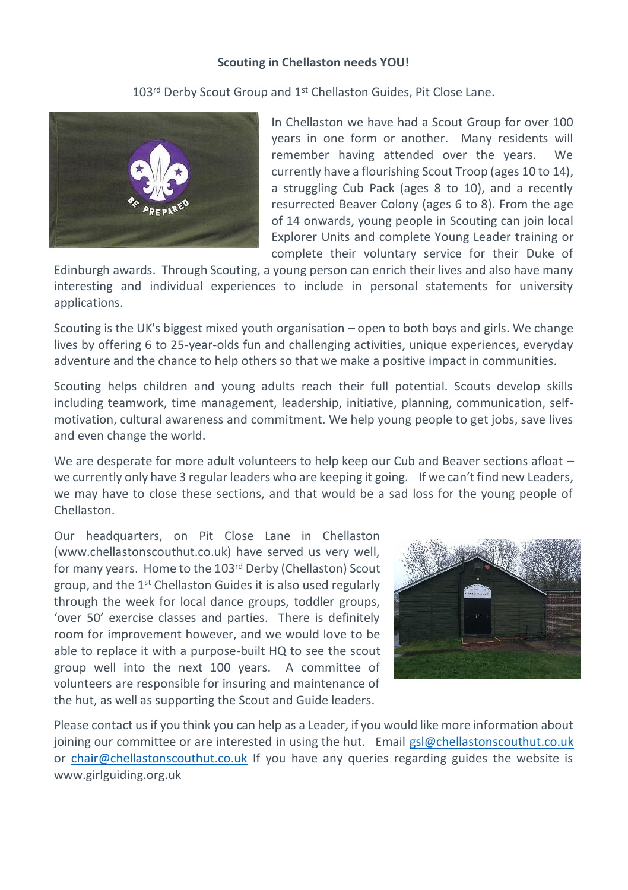## **Scouting in Chellaston needs YOU!**

103<sup>rd</sup> Derby Scout Group and 1<sup>st</sup> Chellaston Guides. Pit Close Lane.



In Chellaston we have had a Scout Group for over 100 years in one form or another. Many residents will remember having attended over the years. We currently have a flourishing Scout Troop (ages 10 to 14), a struggling Cub Pack (ages 8 to 10), and a recently resurrected Beaver Colony (ages 6 to 8). From the age of 14 onwards, young people in Scouting can join local Explorer Units and complete Young Leader training or complete their voluntary service for their Duke of

Edinburgh awards. Through Scouting, a young person can enrich their lives and also have many interesting and individual experiences to include in personal statements for university applications.

Scouting is the UK's biggest mixed youth organisation – open to both boys and girls. We change lives by offering 6 to 25-year-olds fun and challenging activities, unique experiences, everyday adventure and the chance to help others so that we make a positive impact in communities.

Scouting helps children and young adults reach their full potential. Scouts develop skills including teamwork, time management, leadership, initiative, planning, communication, selfmotivation, cultural awareness and commitment. We help young people to get jobs, save lives and even change the world.

We are desperate for more adult volunteers to help keep our Cub and Beaver sections afloat we currently only have 3 regular leaders who are keeping it going. If we can't find new Leaders, we may have to close these sections, and that would be a sad loss for the young people of Chellaston.

Our headquarters, on Pit Close Lane in Chellaston (www.chellastonscouthut.co.uk) have served us very well, for many years. Home to the 103rd Derby (Chellaston) Scout group, and the 1st Chellaston Guides it is also used regularly through the week for local dance groups, toddler groups, 'over 50' exercise classes and parties. There is definitely room for improvement however, and we would love to be able to replace it with a purpose-built HQ to see the scout group well into the next 100 years. A committee of volunteers are responsible for insuring and maintenance of the hut, as well as supporting the Scout and Guide leaders.



Please contact us if you think you can help as a Leader, if you would like more information about joining our committee or are interested in using the hut. Email [gsl@chellastonscouthut.co.uk](mailto:gsl@chellastonscouthut.co.uk) or [chair@chellastonscouthut.co.uk](mailto:chair@chellastonscouthut.co.uk) If you have any queries regarding guides the website is www.girlguiding.org.uk